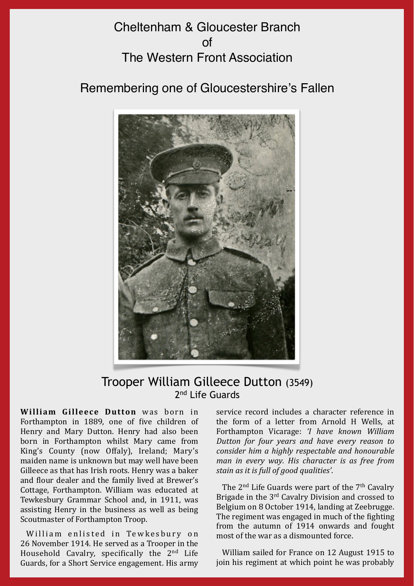## Cheltenham & Gloucester Branch  $\cap$ f The Western Front Association

Remembering one of Gloucestershire's Fallen



## Trooper William Gilleece Dutton (3549) 2nd Life Guards

**William Gilleece Dutton** was born in Forthampton in 1889, one of five children of Henry and Mary Dutton. Henry had also been born in Forthampton whilst Mary came from King's County (now Offaly), Ireland; Mary's maiden name is unknown but may well have been Gilleece as that has Irish roots. Henry was a baker and flour dealer and the family lived at Brewer's Cottage, Forthampton. William was educated at Tewkesbury Grammar School and, in 1911, was assisting Henry in the business as well as being Scoutmaster of Forthampton Troop.

William enlisted in Tewkesbury on 26 November 1914. He served as a Trooper in the Household Cavalry, specifically the  $2<sup>nd</sup>$  Life Guards, for a Short Service engagement. His army service record includes a character reference in the form of a letter from Arnold H Wells, at Forthampton Vicarage: *'I have known William Dutton for four years and have every reason to consider him a highly respectable and honourable man in every way. His character is as free from* stain as it is full of good qualities'.

The  $2<sup>nd</sup>$  Life Guards were part of the  $7<sup>th</sup>$  Cavalry Brigade in the  $3<sup>rd</sup>$  Cavalry Division and crossed to Belgium on 8 October 1914, landing at Zeebrugge. The regiment was engaged in much of the fighting from the autumn of 1914 onwards and fought most of the war as a dismounted force.

William sailed for France on 12 August 1915 to join his regiment at which point he was probably